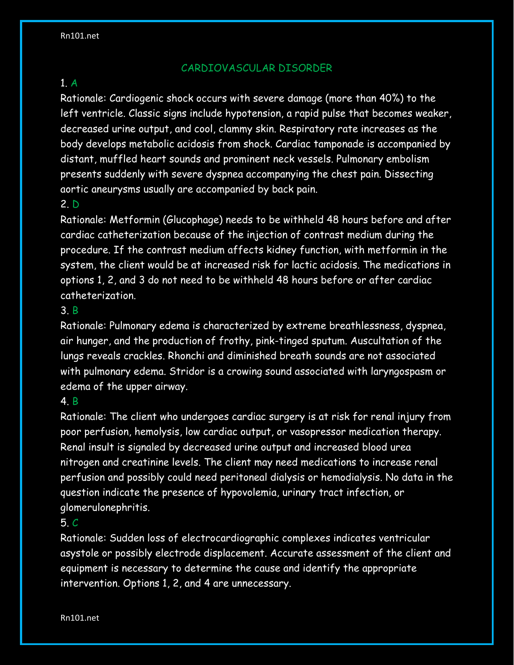# CARDIOVASCULAR DISORDER

### 1. A

Rationale: Cardiogenic shock occurs with severe damage (more than 40%) to the left ventricle. Classic signs include hypotension, a rapid pulse that becomes weaker, decreased urine output, and cool, clammy skin. Respiratory rate increases as the body develops metabolic acidosis from shock. Cardiac tamponade is accompanied by distant, muffled heart sounds and prominent neck vessels. Pulmonary embolism presents suddenly with severe dyspnea accompanying the chest pain. Dissecting aortic aneurysms usually are accompanied by back pain.

### 2. D

Rationale: Metformin (Glucophage) needs to be withheld 48 hours before and after cardiac catheterization because of the injection of contrast medium during the procedure. If the contrast medium affects kidney function, with metformin in the system, the client would be at increased risk for lactic acidosis. The medications in options 1, 2, and 3 do not need to be withheld 48 hours before or after cardiac catheterization.

### 3. B

Rationale: Pulmonary edema is characterized by extreme breathlessness, dyspnea, air hunger, and the production of frothy, pink-tinged sputum. Auscultation of the lungs reveals crackles. Rhonchi and diminished breath sounds are not associated with pulmonary edema. Stridor is a crowing sound associated with laryngospasm or edema of the upper airway.

### 4. B

Rationale: The client who undergoes cardiac surgery is at risk for renal injury from poor perfusion, hemolysis, low cardiac output, or vasopressor medication therapy. Renal insult is signaled by decreased urine output and increased blood urea nitrogen and creatinine levels. The client may need medications to increase renal perfusion and possibly could need peritoneal dialysis or hemodialysis. No data in the question indicate the presence of hypovolemia, urinary tract infection, or glomerulonephritis.

### 5. C

Rationale: Sudden loss of electrocardiographic complexes indicates ventricular asystole or possibly electrode displacement. Accurate assessment of the client and equipment is necessary to determine the cause and identify the appropriate intervention. Options 1, 2, and 4 are unnecessary.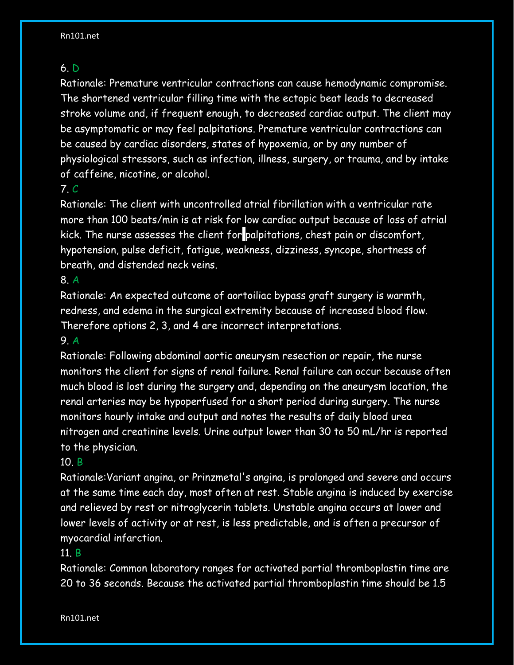### 6. D

Rationale: Premature ventricular contractions can cause hemodynamic compromise. The shortened ventricular filling time with the ectopic beat leads to decreased stroke volume and, if frequent enough, to decreased cardiac output. The client may be asymptomatic or may feel palpitations. Premature ventricular contractions can be caused by cardiac disorders, states of hypoxemia, or by any number of physiological stressors, such as infection, illness, surgery, or trauma, and by intake of caffeine, nicotine, or alcohol.

# 7. C

Rationale: The client with uncontrolled atrial fibrillation with a ventricular rate more than 100 beats/min is at risk for low cardiac output because of loss of atrial kick. The nurse assesses the client for palpitations, chest pain or discomfort, hypotension, pulse deficit, fatigue, weakness, dizziness, syncope, shortness of breath, and distended neck veins.

### 8. A

Rationale: An expected outcome of aortoiliac bypass graft surgery is warmth, redness, and edema in the surgical extremity because of increased blood flow. Therefore options 2, 3, and 4 are incorrect interpretations.

### 9. A

Rationale: Following abdominal aortic aneurysm resection or repair, the nurse monitors the client for signs of renal failure. Renal failure can occur because often much blood is lost during the surgery and, depending on the aneurysm location, the renal arteries may be hypoperfused for a short period during surgery. The nurse monitors hourly intake and output and notes the results of daily blood urea nitrogen and creatinine levels. Urine output lower than 30 to 50 mL/hr is reported to the physician.

# 10. B

Rationale:Variant angina, or Prinzmetal's angina, is prolonged and severe and occurs at the same time each day, most often at rest. Stable angina is induced by exercise and relieved by rest or nitroglycerin tablets. Unstable angina occurs at lower and lower levels of activity or at rest, is less predictable, and is often a precursor of myocardial infarction.

# 11. B

Rationale: Common laboratory ranges for activated partial thromboplastin time are 20 to 36 seconds. Because the activated partial thromboplastin time should be 1.5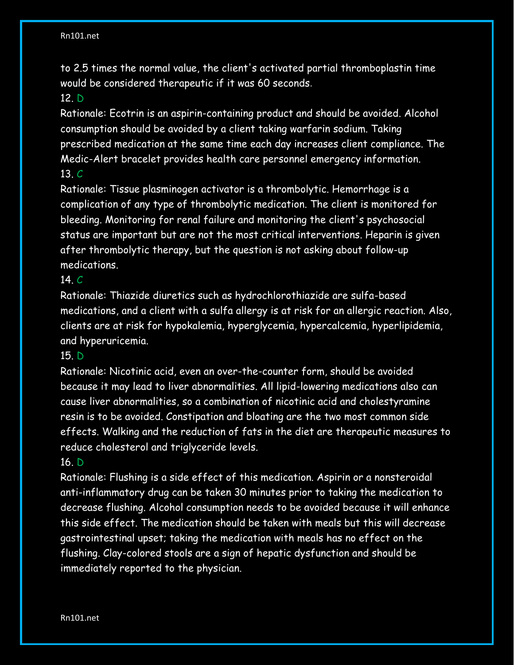to 2.5 times the normal value, the client's activated partial thromboplastin time would be considered therapeutic if it was 60 seconds.

# 12. D

Rationale: Ecotrin is an aspirin-containing product and should be avoided. Alcohol consumption should be avoided by a client taking warfarin sodium. Taking prescribed medication at the same time each day increases client compliance. The Medic-Alert bracelet provides health care personnel emergency information. 13. C

Rationale: Tissue plasminogen activator is a thrombolytic. Hemorrhage is a complication of any type of thrombolytic medication. The client is monitored for bleeding. Monitoring for renal failure and monitoring the client's psychosocial status are important but are not the most critical interventions. Heparin is given after thrombolytic therapy, but the question is not asking about follow-up medications.

### 14. C

Rationale: Thiazide diuretics such as hydrochlorothiazide are sulfa-based medications, and a client with a sulfa allergy is at risk for an allergic reaction. Also, clients are at risk for hypokalemia, hyperglycemia, hypercalcemia, hyperlipidemia, and hyperuricemia.

### 15. D

Rationale: Nicotinic acid, even an over-the-counter form, should be avoided because it may lead to liver abnormalities. All lipid-lowering medications also can cause liver abnormalities, so a combination of nicotinic acid and cholestyramine resin is to be avoided. Constipation and bloating are the two most common side effects. Walking and the reduction of fats in the diet are therapeutic measures to reduce cholesterol and triglyceride levels.

### 16. D

Rationale: Flushing is a side effect of this medication. Aspirin or a nonsteroidal anti-inflammatory drug can be taken 30 minutes prior to taking the medication to decrease flushing. Alcohol consumption needs to be avoided because it will enhance this side effect. The medication should be taken with meals but this will decrease gastrointestinal upset; taking the medication with meals has no effect on the flushing. Clay-colored stools are a sign of hepatic dysfunction and should be immediately reported to the physician.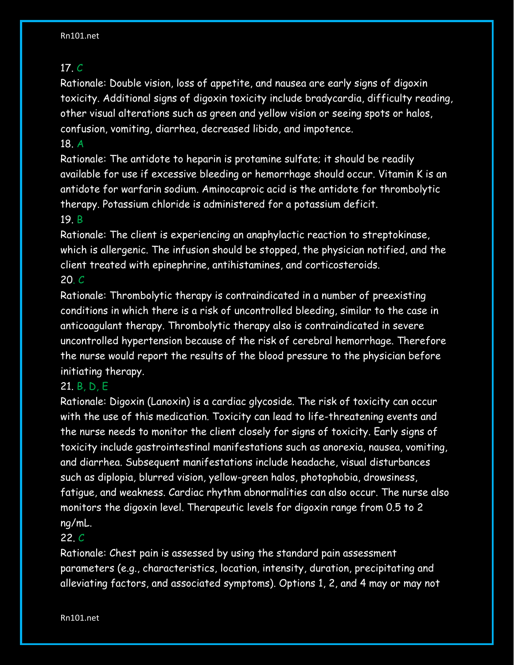# 17. C

Rationale: Double vision, loss of appetite, and nausea are early signs of digoxin toxicity. Additional signs of digoxin toxicity include bradycardia, difficulty reading, other visual alterations such as green and yellow vision or seeing spots or halos, confusion, vomiting, diarrhea, decreased libido, and impotence.

### 18. A

Rationale: The antidote to heparin is protamine sulfate; it should be readily available for use if excessive bleeding or hemorrhage should occur. Vitamin K is an antidote for warfarin sodium. Aminocaproic acid is the antidote for thrombolytic therapy. Potassium chloride is administered for a potassium deficit.

# 19. B

Rationale: The client is experiencing an anaphylactic reaction to streptokinase, which is allergenic. The infusion should be stopped, the physician notified, and the client treated with epinephrine, antihistamines, and corticosteroids. 20. C

Rationale: Thrombolytic therapy is contraindicated in a number of preexisting conditions in which there is a risk of uncontrolled bleeding, similar to the case in anticoagulant therapy. Thrombolytic therapy also is contraindicated in severe uncontrolled hypertension because of the risk of cerebral hemorrhage. Therefore the nurse would report the results of the blood pressure to the physician before initiating therapy.

# 21. B, D, E

Rationale: Digoxin (Lanoxin) is a cardiac glycoside. The risk of toxicity can occur with the use of this medication. Toxicity can lead to life-threatening events and the nurse needs to monitor the client closely for signs of toxicity. Early signs of toxicity include gastrointestinal manifestations such as anorexia, nausea, vomiting, and diarrhea. Subsequent manifestations include headache, visual disturbances such as diplopia, blurred vision, yellow-green halos, photophobia, drowsiness, fatigue, and weakness. Cardiac rhythm abnormalities can also occur. The nurse also monitors the digoxin level. Therapeutic levels for digoxin range from 0.5 to 2 ng/mL.

# 22. C

Rationale: Chest pain is assessed by using the standard pain assessment parameters (e.g., characteristics, location, intensity, duration, precipitating and alleviating factors, and associated symptoms). Options 1, 2, and 4 may or may not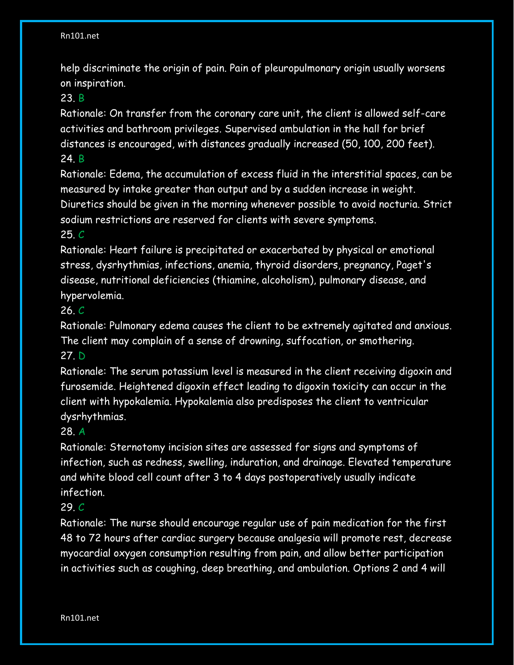help discriminate the origin of pain. Pain of pleuropulmonary origin usually worsens on inspiration.

### 23. B

Rationale: On transfer from the coronary care unit, the client is allowed self-care activities and bathroom privileges. Supervised ambulation in the hall for brief distances is encouraged, with distances gradually increased (50, 100, 200 feet). 24. B

Rationale: Edema, the accumulation of excess fluid in the interstitial spaces, can be measured by intake greater than output and by a sudden increase in weight. Diuretics should be given in the morning whenever possible to avoid nocturia. Strict sodium restrictions are reserved for clients with severe symptoms. 25. C

# Rationale: Heart failure is precipitated or exacerbated by physical or emotional stress, dysrhythmias, infections, anemia, thyroid disorders, pregnancy, Paget's disease, nutritional deficiencies (thiamine, alcoholism), pulmonary disease, and hypervolemia.

### 26. C

Rationale: Pulmonary edema causes the client to be extremely agitated and anxious. The client may complain of a sense of drowning, suffocation, or smothering.

# 27. D

Rationale: The serum potassium level is measured in the client receiving digoxin and furosemide. Heightened digoxin effect leading to digoxin toxicity can occur in the client with hypokalemia. Hypokalemia also predisposes the client to ventricular dysrhythmias.

### 28. A

Rationale: Sternotomy incision sites are assessed for signs and symptoms of infection, such as redness, swelling, induration, and drainage. Elevated temperature and white blood cell count after 3 to 4 days postoperatively usually indicate infection.

# 29. C

Rationale: The nurse should encourage regular use of pain medication for the first 48 to 72 hours after cardiac surgery because analgesia will promote rest, decrease myocardial oxygen consumption resulting from pain, and allow better participation in activities such as coughing, deep breathing, and ambulation. Options 2 and 4 will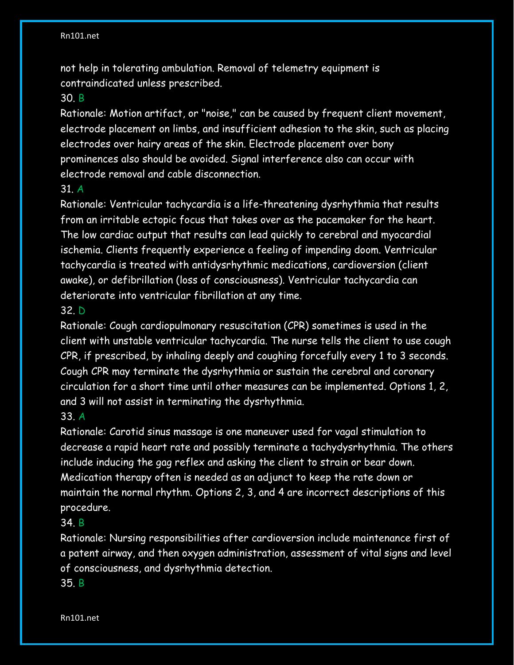not help in tolerating ambulation. Removal of telemetry equipment is contraindicated unless prescribed.

#### 30. B

Rationale: Motion artifact, or "noise," can be caused by frequent client movement, electrode placement on limbs, and insufficient adhesion to the skin, such as placing electrodes over hairy areas of the skin. Electrode placement over bony prominences also should be avoided. Signal interference also can occur with electrode removal and cable disconnection.

#### 31. A

Rationale: Ventricular tachycardia is a life-threatening dysrhythmia that results from an irritable ectopic focus that takes over as the pacemaker for the heart. The low cardiac output that results can lead quickly to cerebral and myocardial ischemia. Clients frequently experience a feeling of impending doom. Ventricular tachycardia is treated with antidysrhythmic medications, cardioversion (client awake), or defibrillation (loss of consciousness). Ventricular tachycardia can deteriorate into ventricular fibrillation at any time.

### 32. D

Rationale: Cough cardiopulmonary resuscitation (CPR) sometimes is used in the client with unstable ventricular tachycardia. The nurse tells the client to use cough CPR, if prescribed, by inhaling deeply and coughing forcefully every 1 to 3 seconds. Cough CPR may terminate the dysrhythmia or sustain the cerebral and coronary circulation for a short time until other measures can be implemented. Options 1, 2, and 3 will not assist in terminating the dysrhythmia. 33. A

# Rationale: Carotid sinus massage is one maneuver used for vagal stimulation to decrease a rapid heart rate and possibly terminate a tachydysrhythmia. The others include inducing the gag reflex and asking the client to strain or bear down. Medication therapy often is needed as an adjunct to keep the rate down or maintain the normal rhythm. Options 2, 3, and 4 are incorrect descriptions of this procedure.

### 34. B

Rationale: Nursing responsibilities after cardioversion include maintenance first of a patent airway, and then oxygen administration, assessment of vital signs and level of consciousness, and dysrhythmia detection.

#### 35. B

Rn101.net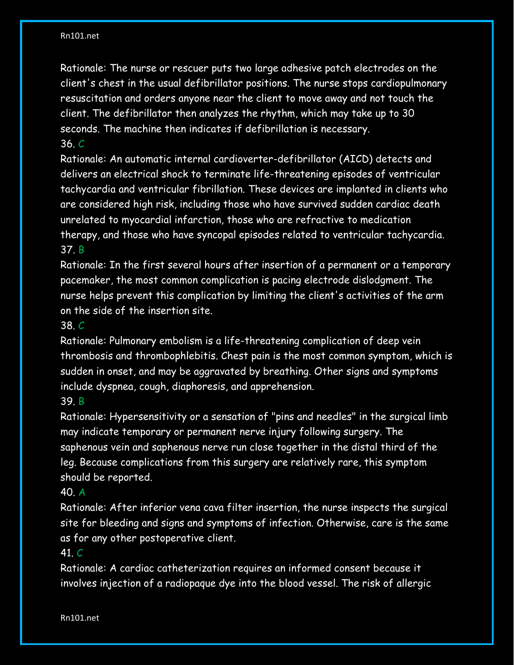Rationale: The nurse or rescuer puts two large adhesive patch electrodes on the client's chest in the usual defibrillator positions. The nurse stops cardiopulmonary resuscitation and orders anyone near the client to move away and not touch the client. The defibrillator then analyzes the rhythm, which may take up to 30 seconds. The machine then indicates if defibrillation is necessary. 36. C

Rationale: An automatic internal cardioverter-defibrillator (AICD) detects and delivers an electrical shock to terminate life-threatening episodes of ventricular tachycardia and ventricular fibrillation. These devices are implanted in clients who are considered high risk, including those who have survived sudden cardiac death unrelated to myocardial infarction, those who are refractive to medication therapy, and those who have syncopal episodes related to ventricular tachycardia. 37. B

Rationale: In the first several hours after insertion of a permanent or a temporary pacemaker, the most common complication is pacing electrode dislodgment. The nurse helps prevent this complication by limiting the client's activities of the arm on the side of the insertion site.

### 38. C

Rationale: Pulmonary embolism is a life-threatening complication of deep vein thrombosis and thrombophlebitis. Chest pain is the most common symptom, which is sudden in onset, and may be aggravated by breathing. Other signs and symptoms include dyspnea, cough, diaphoresis, and apprehension.

### 39. B

Rationale: Hypersensitivity or a sensation of "pins and needles" in the surgical limb may indicate temporary or permanent nerve injury following surgery. The saphenous vein and saphenous nerve run close together in the distal third of the leg. Because complications from this surgery are relatively rare, this symptom should be reported.

# 40. A

Rationale: After inferior vena cava filter insertion, the nurse inspects the surgical site for bleeding and signs and symptoms of infection. Otherwise, care is the same as for any other postoperative client.

### 41. C

Rationale: A cardiac catheterization requires an informed consent because it involves injection of a radiopaque dye into the blood vessel. The risk of allergic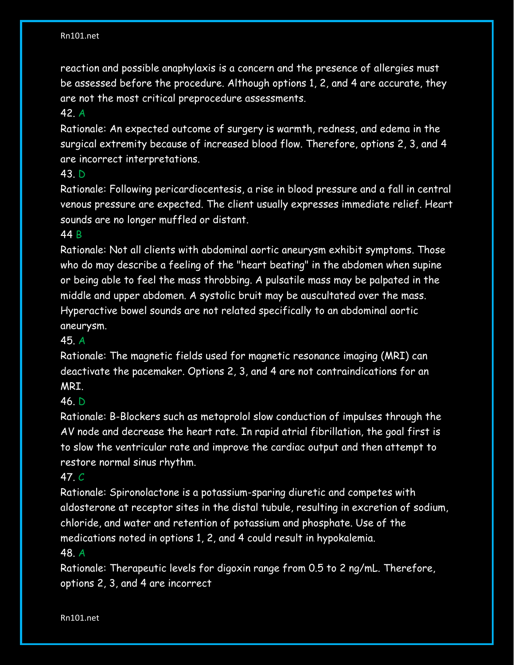reaction and possible anaphylaxis is a concern and the presence of allergies must be assessed before the procedure. Although options 1, 2, and 4 are accurate, they are not the most critical preprocedure assessments.

### 42. A

Rationale: An expected outcome of surgery is warmth, redness, and edema in the surgical extremity because of increased blood flow. Therefore, options 2, 3, and 4 are incorrect interpretations.

### 43. D

Rationale: Following pericardiocentesis, a rise in blood pressure and a fall in central venous pressure are expected. The client usually expresses immediate relief. Heart sounds are no longer muffled or distant.

### 44 B

Rationale: Not all clients with abdominal aortic aneurysm exhibit symptoms. Those who do may describe a feeling of the "heart beating" in the abdomen when supine or being able to feel the mass throbbing. A pulsatile mass may be palpated in the middle and upper abdomen. A systolic bruit may be auscultated over the mass. Hyperactive bowel sounds are not related specifically to an abdominal aortic aneurysm.

# 45. A

Rationale: The magnetic fields used for magnetic resonance imaging (MRI) can deactivate the pacemaker. Options 2, 3, and 4 are not contraindications for an MRI.

# 46. D

Rationale: B-Blockers such as metoprolol slow conduction of impulses through the AV node and decrease the heart rate. In rapid atrial fibrillation, the goal first is to slow the ventricular rate and improve the cardiac output and then attempt to restore normal sinus rhythm.

# 47. C

Rationale: Spironolactone is a potassium-sparing diuretic and competes with aldosterone at receptor sites in the distal tubule, resulting in excretion of sodium, chloride, and water and retention of potassium and phosphate. Use of the medications noted in options 1, 2, and 4 could result in hypokalemia.

# 48. A

Rationale: Therapeutic levels for digoxin range from 0.5 to 2 ng/mL. Therefore, options 2, 3, and 4 are incorrect

Rn101.net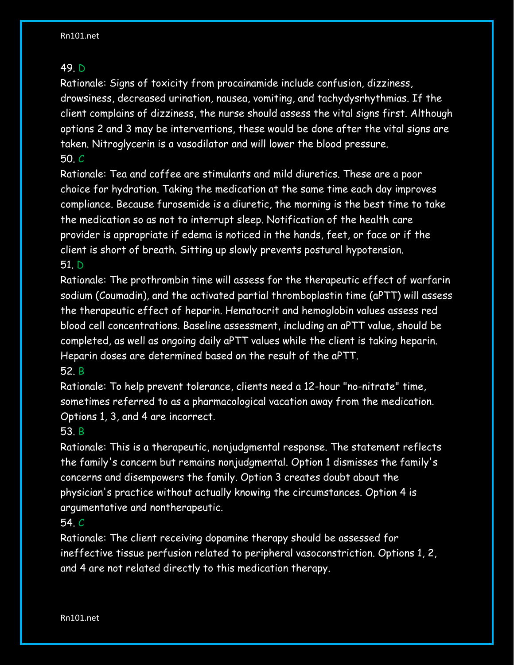### 49. D

Rationale: Signs of toxicity from procainamide include confusion, dizziness, drowsiness, decreased urination, nausea, vomiting, and tachydysrhythmias. If the client complains of dizziness, the nurse should assess the vital signs first. Although options 2 and 3 may be interventions, these would be done after the vital signs are taken. Nitroglycerin is a vasodilator and will lower the blood pressure. 50. C

Rationale: Tea and coffee are stimulants and mild diuretics. These are a poor choice for hydration. Taking the medication at the same time each day improves compliance. Because furosemide is a diuretic, the morning is the best time to take the medication so as not to interrupt sleep. Notification of the health care provider is appropriate if edema is noticed in the hands, feet, or face or if the client is short of breath. Sitting up slowly prevents postural hypotension. 51. D

Rationale: The prothrombin time will assess for the therapeutic effect of warfarin sodium (Coumadin), and the activated partial thromboplastin time (aPTT) will assess the therapeutic effect of heparin. Hematocrit and hemoglobin values assess red blood cell concentrations. Baseline assessment, including an aPTT value, should be completed, as well as ongoing daily aPTT values while the client is taking heparin. Heparin doses are determined based on the result of the aPTT. 52. B

Rationale: To help prevent tolerance, clients need a 12-hour "no-nitrate" time, sometimes referred to as a pharmacological vacation away from the medication. Options 1, 3, and 4 are incorrect.

# 53. B

Rationale: This is a therapeutic, nonjudgmental response. The statement reflects the family's concern but remains nonjudgmental. Option 1 dismisses the family's concerns and disempowers the family. Option 3 creates doubt about the physician's practice without actually knowing the circumstances. Option 4 is argumentative and nontherapeutic.

# 54. C

Rationale: The client receiving dopamine therapy should be assessed for ineffective tissue perfusion related to peripheral vasoconstriction. Options 1, 2, and 4 are not related directly to this medication therapy.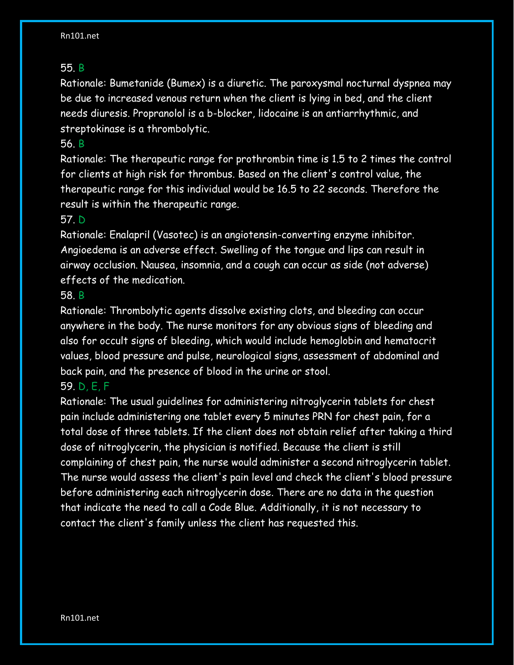### 55. B

Rationale: Bumetanide (Bumex) is a diuretic. The paroxysmal nocturnal dyspnea may be due to increased venous return when the client is lying in bed, and the client needs diuresis. Propranolol is a b-blocker, lidocaine is an antiarrhythmic, and streptokinase is a thrombolytic.

### 56. B

Rationale: The therapeutic range for prothrombin time is 1.5 to 2 times the control for clients at high risk for thrombus. Based on the client's control value, the therapeutic range for this individual would be 16.5 to 22 seconds. Therefore the result is within the therapeutic range.

### 57. D

Rationale: Enalapril (Vasotec) is an angiotensin-converting enzyme inhibitor. Angioedema is an adverse effect. Swelling of the tongue and lips can result in airway occlusion. Nausea, insomnia, and a cough can occur as side (not adverse) effects of the medication.

### 58. B

Rationale: Thrombolytic agents dissolve existing clots, and bleeding can occur anywhere in the body. The nurse monitors for any obvious signs of bleeding and also for occult signs of bleeding, which would include hemoglobin and hematocrit values, blood pressure and pulse, neurological signs, assessment of abdominal and back pain, and the presence of blood in the urine or stool.

# 59. D, E, F

Rationale: The usual guidelines for administering nitroglycerin tablets for chest pain include administering one tablet every 5 minutes PRN for chest pain, for a total dose of three tablets. If the client does not obtain relief after taking a third dose of nitroglycerin, the physician is notified. Because the client is still complaining of chest pain, the nurse would administer a second nitroglycerin tablet. The nurse would assess the client's pain level and check the client's blood pressure before administering each nitroglycerin dose. There are no data in the question that indicate the need to call a Code Blue. Additionally, it is not necessary to contact the client's family unless the client has requested this.